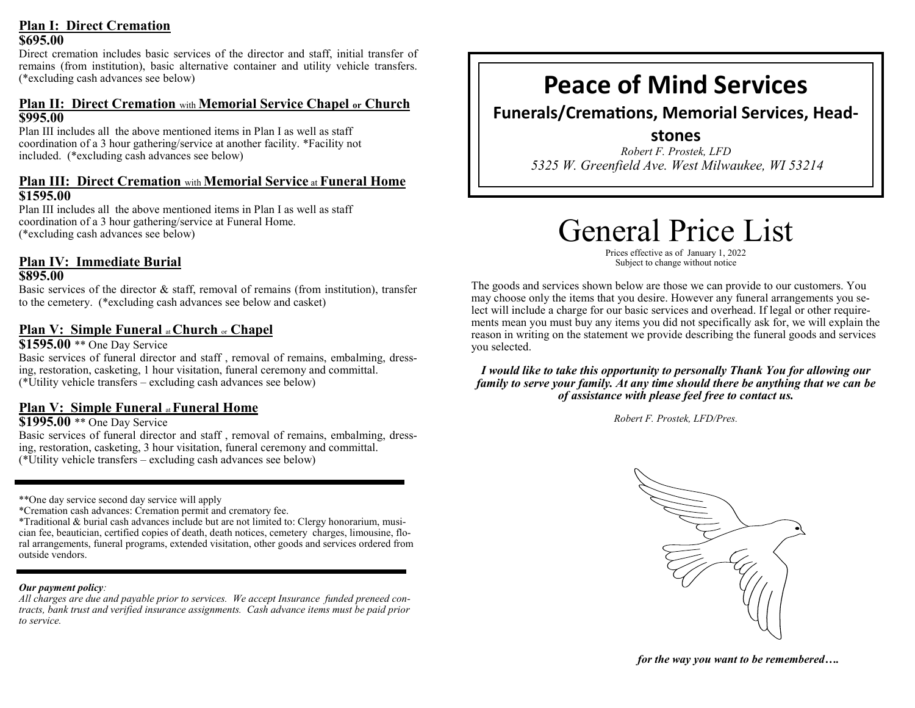### **Plan I: Direct Cremation \$695.00**

Direct cremation includes basic services of the director and staff, initial transfer of remains (from institution), basic alternative container and utility vehicle transfers. (\*excluding cash advances see below)

# **Plan II: Direct Cremation** with **Memorial Service Chapel or Church \$995.00**

Plan III includes all the above mentioned items in Plan I as well as staff coordination of a 3 hour gathering/service at another facility. \*Facility not included. (\*excluding cash advances see below)

## **Plan III: Direct Cremation** with **Memorial Service** at **Funeral Home \$1595.00**

Plan III includes all the above mentioned items in Plan I as well as staff coordination of a 3 hour gathering/service at Funeral Home. (\*excluding cash advances see below)

# **Plan IV: Immediate Burial**

### **\$895.00**

Basic services of the director  $\&$  staff, removal of remains (from institution), transfer to the cemetery. (\*excluding cash advances see below and casket)

# **Plan V: Simple Funeral** at **Church** or **Chapel**

**\$1595.00** \*\* One Day Service

Basic services of funeral director and staff , removal of remains, embalming, dressing, restoration, casketing, 1 hour visitation, funeral ceremony and committal. (\*Utility vehicle transfers – excluding cash advances see below)

# **Plan V: Simple Funeral** at **Funeral Home**

### **\$1995.00** \*\* One Day Service

Basic services of funeral director and staff , removal of remains, embalming, dressing, restoration, casketing, 3 hour visitation, funeral ceremony and committal. (\*Utility vehicle transfers – excluding cash advances see below)

\*\*One day service second day service will apply

\*Cremation cash advances: Cremation permit and crematory fee.

\*Traditional & burial cash advances include but are not limited to: Clergy honorarium, musician fee, beautician, certified copies of death, death notices, cemetery charges, limousine, floral arrangements, funeral programs, extended visitation, other goods and services ordered from outside vendors.

### *Our payment policy:*

*All charges are due and payable prior to services. We accept Insurance funded preneed contracts, bank trust and verified insurance assignments. Cash advance items must be paid prior to service.*

# **Peace of Mind Services**

**Funerals/Cremations, Memorial Services, Head-**

**stones** *Robert F. Prostek, LFD 5325 W. Greenfield Ave. West Milwaukee, WI 53214*

# General Price List

Prices effective as of January 1, 2022 Subject to change without notice

The goods and services shown below are those we can provide to our customers. You may choose only the items that you desire. However any funeral arrangements you select will include a charge for our basic services and overhead. If legal or other requirements mean you must buy any items you did not specifically ask for, we will explain the reason in writing on the statement we provide describing the funeral goods and services you selected.

*I would like to take this opportunity to personally Thank You for allowing our family to serve your family. At any time should there be anything that we can be of assistance with please feel free to contact us.* 

*Robert F. Prostek, LFD/Pres.*



*for the way you want to be remembered….*